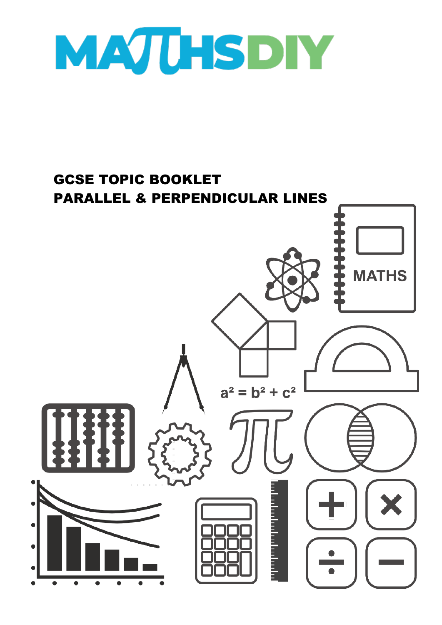

## GCSE TOPIC BOOKLET PARALLEL & PERPENDICULAR LINES

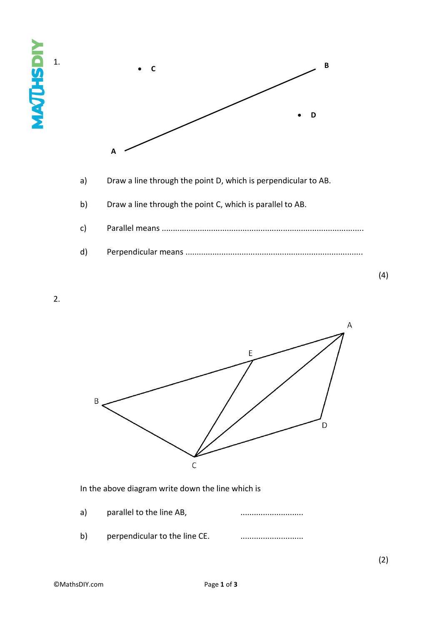



2.

1.

**MAQHSHIV** 



In the above diagram write down the line which is

- a) parallel to the line AB, manufactured and the parallel to the line AB,
- b) perpendicular to the line CE. ............................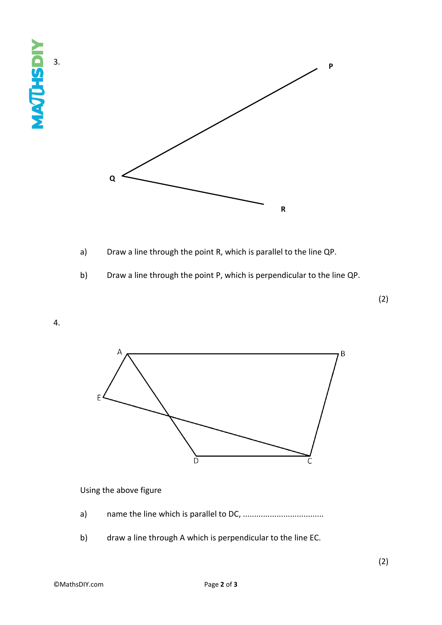



- a) Draw a line through the point R, which is parallel to the line QP.
- b) Draw a line through the point P, which is perpendicular to the line QP.

4.



## Using the above figure

- a) name the line which is parallel to DC, ....................................
- b) draw a line through A which is perpendicular to the line EC.